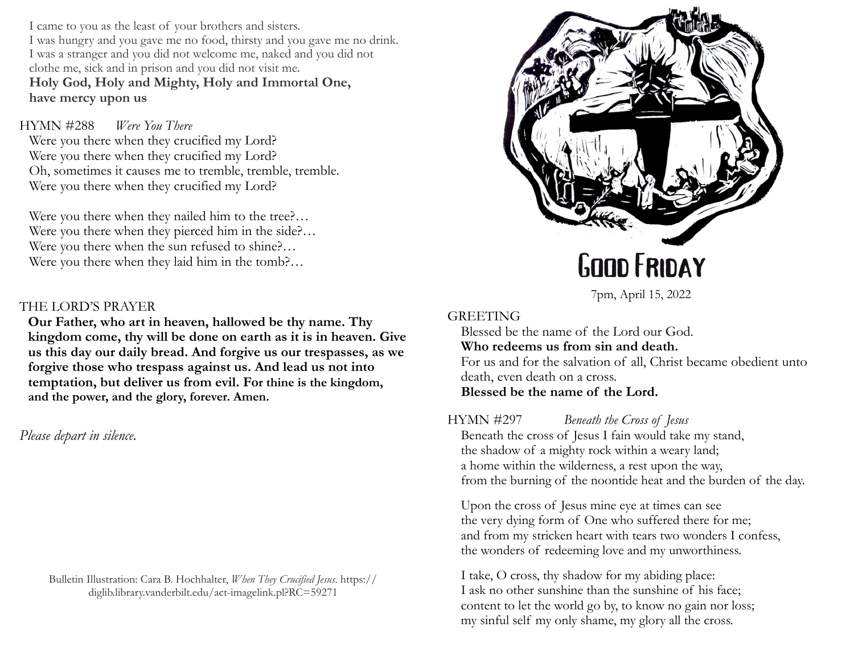I came to you as the least of your brothers and sisters. I was hungry and you gave me no food, thirsty and you gave me no drink. I was a stranger and you did not welcome me, naked and you did not clothe me, sick and in prison and you did not visit me. **Holy God, Holy and Mighty, Holy and Immortal One, have mercy upon us**

HYMN #288 *Were You There* Were you there when they crucified my Lord? Were you there when they crucified my Lord? Oh, sometimes it causes me to tremble, tremble, tremble. Were you there when they crucified my Lord?

Were you there when they nailed him to the tree?... Were you there when they pierced him in the side?... Were you there when the sun refused to shine?… Were you there when they laid him in the tomb?…

### THE LORD'S PRAYER

**Our Father, who art in heaven, hallowed be thy name. Thy kingdom come, thy will be done on earth as it is in heaven. Give us this day our daily bread. And forgive us our trespasses, as we forgive those who trespass against us. And lead us not into temptation, but deliver us from evil. For thine is the kingdom, and the power, and the glory, forever. Amen.** 

*Please depart in silence.* 

Bulletin Illustration: Cara B. Hochhalter, *When They Crucified Jesus*. https:// diglib.library.vanderbilt.edu/act-imagelink.pl?RC=59271



7pm, April 15, 2022

#### GREETING

Blessed be the name of the Lord our God. **Who redeems us from sin and death.** For us and for the salvation of all, Christ became obedient unto death, even death on a cross. **Blessed be the name of the Lord.** 

### HYMN #297 *Beneath the Cross of Jesus*

Beneath the cross of Jesus I fain would take my stand, the shadow of a mighty rock within a weary land; a home within the wilderness, a rest upon the way, from the burning of the noontide heat and the burden of the day.

Upon the cross of Jesus mine eye at times can see the very dying form of One who suffered there for me; and from my stricken heart with tears two wonders I confess, the wonders of redeeming love and my unworthiness.

I take, O cross, thy shadow for my abiding place: I ask no other sunshine than the sunshine of his face; content to let the world go by, to know no gain nor loss; my sinful self my only shame, my glory all the cross.